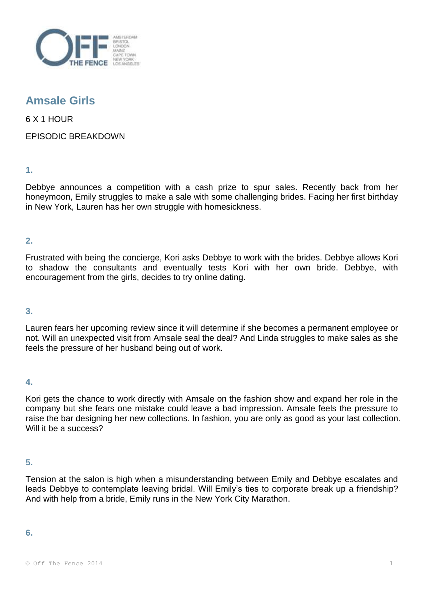

## **Amsale Girls**

6 X 1 HOUR

EPISODIC BREAKDOWN

**1.** 

Debbye announces a competition with a cash prize to spur sales. Recently back from her honeymoon, Emily struggles to make a sale with some challenging brides. Facing her first birthday in New York, Lauren has her own struggle with homesickness.

**2.** 

Frustrated with being the concierge, Kori asks Debbye to work with the brides. Debbye allows Kori to shadow the consultants and eventually tests Kori with her own bride. Debbye, with encouragement from the girls, decides to try online dating.

## **3.**

Lauren fears her upcoming review since it will determine if she becomes a permanent employee or not. Will an unexpected visit from Amsale seal the deal? And Linda struggles to make sales as she feels the pressure of her husband being out of work.

**4.** 

Kori gets the chance to work directly with Amsale on the fashion show and expand her role in the company but she fears one mistake could leave a bad impression. Amsale feels the pressure to raise the bar designing her new collections. In fashion, you are only as good as your last collection. Will it be a success?

**5.** 

Tension at the salon is high when a misunderstanding between Emily and Debbye escalates and leads Debbye to contemplate leaving bridal. Will Emily's ties to corporate break up a friendship? And with help from a bride, Emily runs in the New York City Marathon.

**6.**